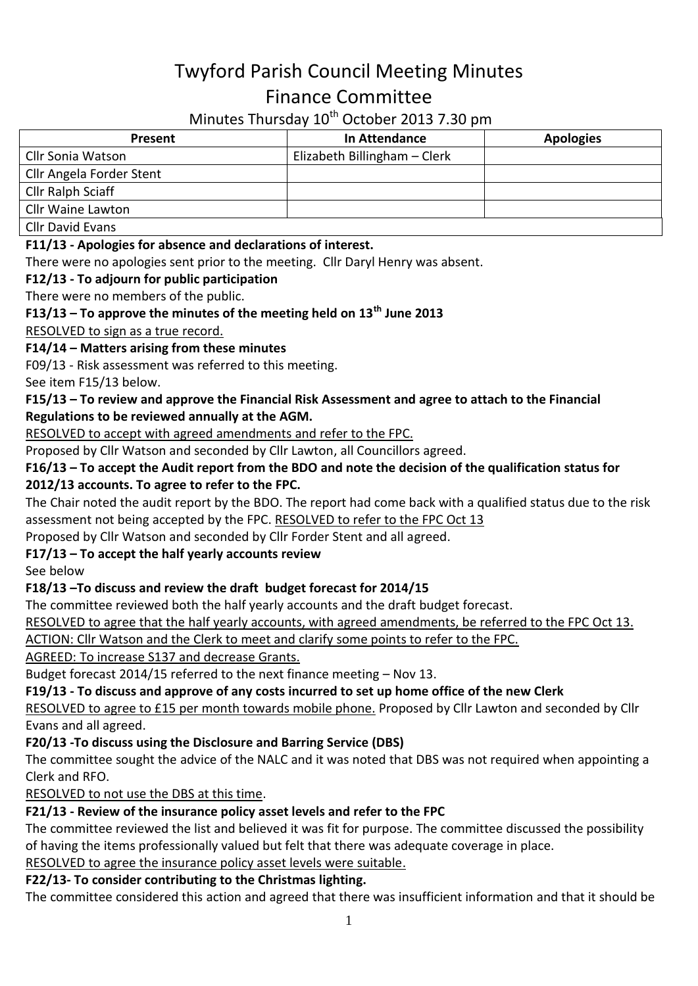# Twyford Parish Council Meeting Minutes Finance Committee

# Minutes Thursday 10<sup>th</sup> October 2013 7.30 pm

| Present                  | In Attendance                | <b>Apologies</b> |
|--------------------------|------------------------------|------------------|
| Cllr Sonia Watson        | Elizabeth Billingham - Clerk |                  |
| Cllr Angela Forder Stent |                              |                  |
| <b>Cllr Ralph Sciaff</b> |                              |                  |
| <b>Cllr Waine Lawton</b> |                              |                  |
| Cllr Dovid Evanc         |                              |                  |

Cllr David Evans

#### **F11/13 - Apologies for absence and declarations of interest.**

There were no apologies sent prior to the meeting. Cllr Daryl Henry was absent.

#### **F12/13 - To adjourn for public participation**

There were no members of the public.

#### **F13/13 – To approve the minutes of the meeting held on 13th June 2013**

RESOLVED to sign as a true record.

#### **F14/14 – Matters arising from these minutes**

F09/13 - Risk assessment was referred to this meeting.

See item F15/13 below.

#### **F15/13 – To review and approve the Financial Risk Assessment and agree to attach to the Financial Regulations to be reviewed annually at the AGM.**

RESOLVED to accept with agreed amendments and refer to the FPC.

Proposed by Cllr Watson and seconded by Cllr Lawton, all Councillors agreed.

# **F16/13 – To accept the Audit report from the BDO and note the decision of the qualification status for**

#### **2012/13 accounts. To agree to refer to the FPC.**

The Chair noted the audit report by the BDO. The report had come back with a qualified status due to the risk assessment not being accepted by the FPC. RESOLVED to refer to the FPC Oct 13

Proposed by Cllr Watson and seconded by Cllr Forder Stent and all agreed.

#### **F17/13 – To accept the half yearly accounts review**

See below

#### **F18/13 –To discuss and review the draft budget forecast for 2014/15**

The committee reviewed both the half yearly accounts and the draft budget forecast.

RESOLVED to agree that the half yearly accounts, with agreed amendments, be referred to the FPC Oct 13.

ACTION: Cllr Watson and the Clerk to meet and clarify some points to refer to the FPC.

AGREED: To increase S137 and decrease Grants.

Budget forecast 2014/15 referred to the next finance meeting – Nov 13.

## **F19/13 - To discuss and approve of any costs incurred to set up home office of the new Clerk**

RESOLVED to agree to £15 per month towards mobile phone. Proposed by Cllr Lawton and seconded by Cllr Evans and all agreed.

## **F20/13 -To discuss using the Disclosure and Barring Service (DBS)**

The committee sought the advice of the NALC and it was noted that DBS was not required when appointing a Clerk and RFO.

RESOLVED to not use the DBS at this time.

# **F21/13 - Review of the insurance policy asset levels and refer to the FPC**

The committee reviewed the list and believed it was fit for purpose. The committee discussed the possibility of having the items professionally valued but felt that there was adequate coverage in place.

## RESOLVED to agree the insurance policy asset levels were suitable.

# **F22/13- To consider contributing to the Christmas lighting.**

The committee considered this action and agreed that there was insufficient information and that it should be